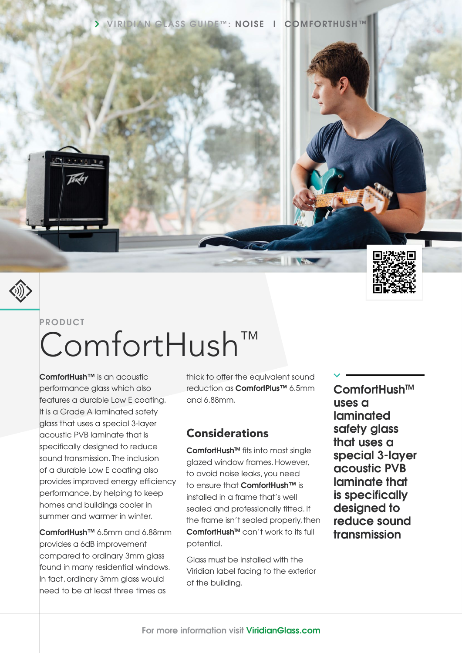



# **PRODUCT** ComfortHush™

**ComfortHush™** is an acoustic performance glass which also features a durable Low E coating. It is a Grade A laminated safety glass that uses a special 3-layer acoustic PVB laminate that is specifically designed to reduce sound transmission. The inclusion of a durable Low E coating also provides improved energy efficiency performance, by helping to keep homes and buildings cooler in summer and warmer in winter.

**ComfortHush™** 6.5mm and 6.88mm provides a 6dB improvement compared to ordinary 3mm glass found in many residential windows. In fact, ordinary 3mm glass would need to be at least three times as

thick to offer the equivalent sound reduction as **ComfortPlus™** 6.5mm and 6.88mm.

### Considerations

ComfortHush<sup>™</sup> fits into most single glazed window frames. However, to avoid noise leaks, you need to ensure that **ComfortHush™** is installed in a frame that's well sealed and professionally fitted. If the frame isn't sealed properly, then **ComfortHush<sup>™</sup> can't work to its full** potential.

Glass must be installed with the Viridian label facing to the exterior of the building.

**ComfortHushTM uses a laminated safety glass that uses a special 3-layer acoustic PVB laminate that is specifically designed to reduce sound transmission**